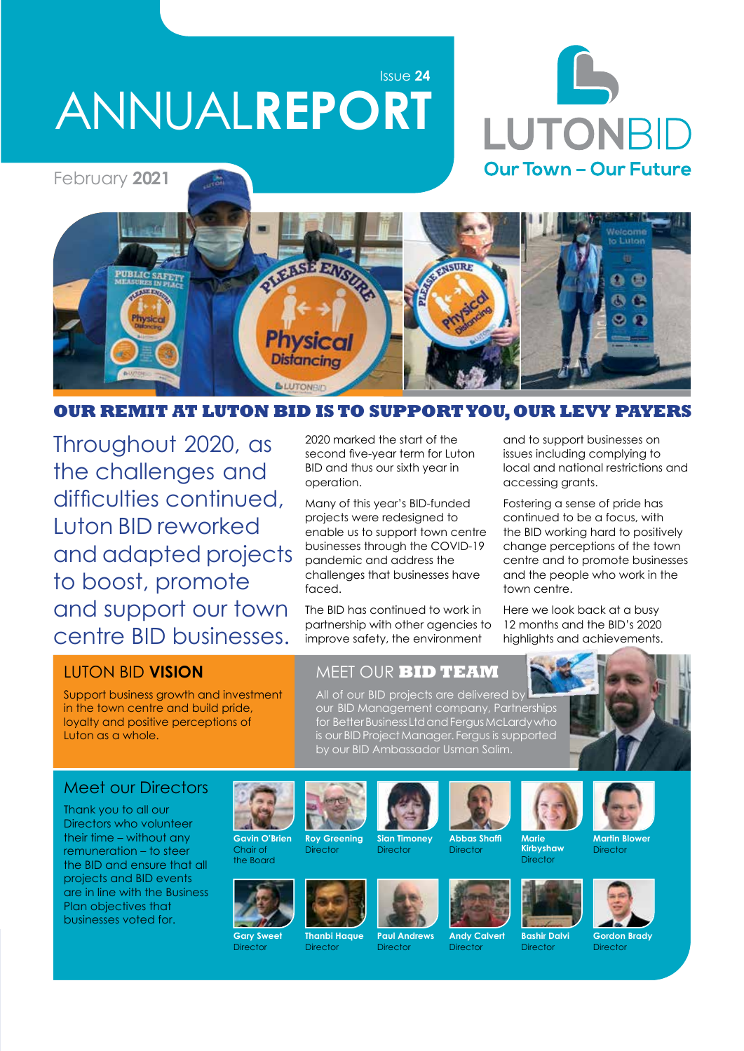Issue **24**

# ANNUAL**REPORT**





#### **OUR REMIT AT LUTON BID IS TO SUPPORT YOU, OUR LEVY PAYERS**

Throughout 2020, as the challenges and difficulties continued, Luton BID reworked and adapted projects to boost, promote and support our town centre BID businesses.

2020 marked the start of the second five-year term for Luton BID and thus our sixth year in operation.

Many of this year's BID-funded projects were redesigned to enable us to support town centre businesses through the COVID-19 pandemic and address the challenges that businesses have faced.

The BID has continued to work in partnership with other agencies to improve safety, the environment

and to support businesses on issues including complying to local and national restrictions and accessing grants.

Fostering a sense of pride has continued to be a focus, with the BID working hard to positively change perceptions of the town centre and to promote businesses and the people who work in the town centre.

Here we look back at a busy 12 months and the BID's 2020 highlights and achievements.

#### LUTON BID **VISION**

Support business growth and investment in the town centre and build pride, loyalty and positive perceptions of Luton as a whole.

#### MEET OUR **BID TEAM**

All of our BID projects are delivered by our BID Management company, Partnerships for Better Business Ltd and Fergus McLardy who is our BID Project Manager. Fergus is supported by our BID Ambassador Usman Salim.



#### Meet our Directors

Thank you to all our Directors who volunteer their time – without any remuneration – to steer the BID and ensure that all projects and BID events are in line with the Business Plan objectives that businesses voted for.











**Roy Greening**







**Director** 





**Kirbyshaw** Director











**Gordon Brady Director** 

Director



**Sian Timoney**

**Paul Andrews** Director

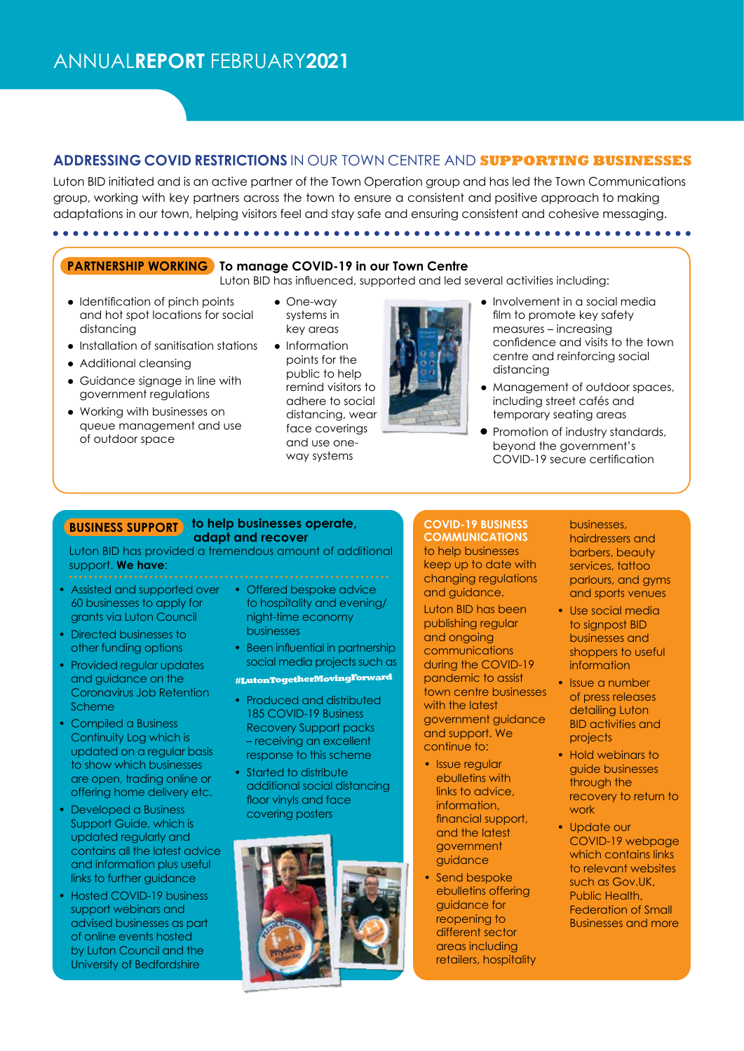#### **ADDRESSING COVID RESTRICTIONS** IN OUR TOWN CENTRE AND **SUPPORTING BUSINESSES**

Luton BID initiated and is an active partner of the Town Operation group and has led the Town Communications group, working with key partners across the town to ensure a consistent and positive approach to making adaptations in our town, helping visitors feel and stay safe and ensuring consistent and cohesive messaging.

#### **PARTNERSHIP WORKING To manage COVID-19 in our Town Centre**

- Luton BID has influenced, supported and led several activities including:
- Identification of pinch points and hot spot locations for social distancing

● Installation of sanitisation stations

● Guidance signage in line with government regulations ● Working with businesses on queue management and use

● Additional cleansing

of outdoor space

- One-way systems in key areas
- Information points for the public to help remind visitors to adhere to social distancing, wear face coverings and use oneway systems



- Involvement in a social media film to promote key safety measures – increasing confidence and visits to the town centre and reinforcing social distancing
- Management of outdoor spaces, including street cafés and temporary seating areas
- Promotion of industry standards, beyond the government's COVID-19 secure certification

#### **BUSINESS SUPPORT** to help businesses operate,  **adapt and recover**

Luton BID has provided a tremendous amount of additional support. **We have**:

- Assisted and supported over 60 businesses to apply for grants via Luton Council
- Directed businesses to other funding options
- Provided regular updates and guidance on the Coronavirus Job Retention Scheme
- Compiled a Business Continuity Log which is updated on a regular basis to show which businesses are open, trading online or offering home delivery etc.
- Developed a Business Support Guide, which is updated regularly and contains all the latest advice and information plus useful links to further guidance
- Hosted COVID-19 business support webinars and advised businesses as part of online events hosted by Luton Council and the University of Bedfordshire
- Offered bespoke advice to hospitality and evening/ night-time economy businesses
- Been influential in partnership social media projects such as

#### **#LutonTogetherMovingForward**

- Produced and distributed 185 COVID-19 Business Recovery Support packs – receiving an excellent response to this scheme
- Started to distribute additional social distancing floor vinyls and face covering posters



**COVID-19 BUSINESS COMMUNICATIONS**  to help businesses keep up to date with changing regulations and guidance.

Luton BID has been publishing regular and ongoing communications during the COVID-19 pandemic to assist town centre businesses with the latest government guidance and support. We continue to:

- Issue regular ebulletins with links to advice, information, financial support, and the latest government guidance
- Send bespoke ebulletins offering guidance for reopening to different sector areas including retailers, hospitality

businesses, hairdressers and barbers, beauty services, tattoo parlours, and gyms and sports venues

- Use social media to signpost BID businesses and shoppers to useful information
- Issue a number of press releases detailing Luton BID activities and projects
- Hold webinars to guide businesses through the recovery to return to work
- Update our COVID-19 webpage which contains links to relevant websites such as Gov.UK, Public Health, Federation of Small Businesses and more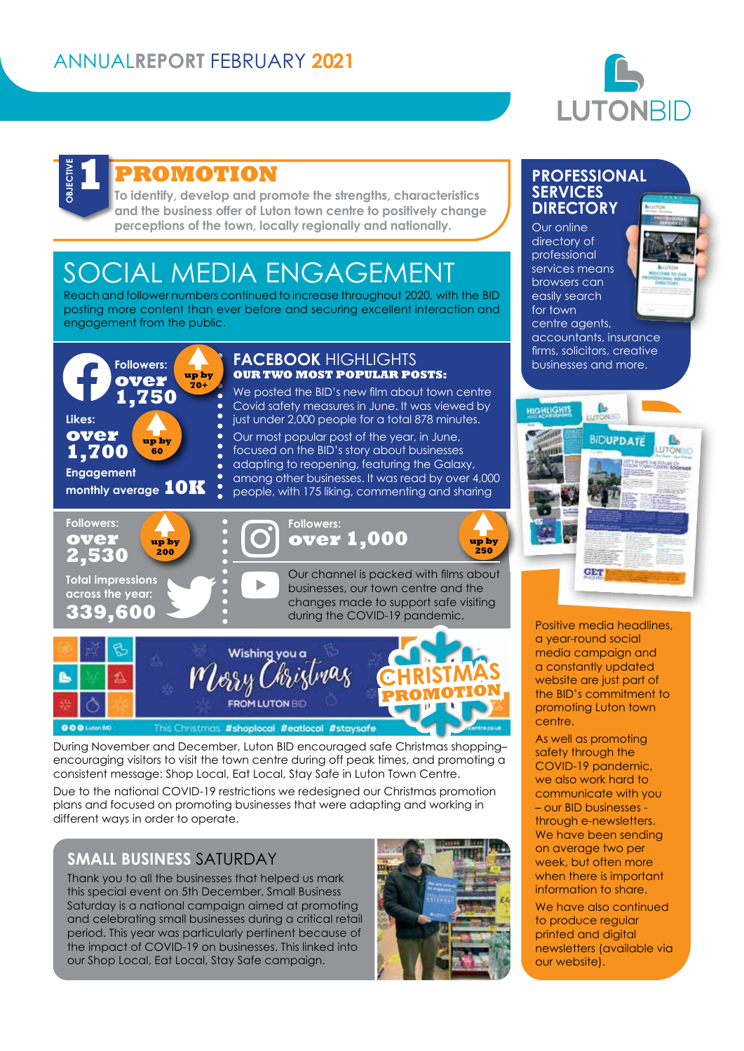

# **DBJECTIV**

## **PROMOTION**

**To identify, develop and promote the strengths, characteristics and the business offer of Luton town centre to positively change perceptions of the town, locally regionally and nationally.**

# SOCIAL MEDIA ENGAGEMENT

Reach and follower numbers continued to increase throughout 2020, with the BID posting more content than ever before and securing excellent interaction and engagement from the public.



This Christmas #shoplocal #eatlocal #staysafe

During November and December, Luton BID encouraged safe Christmas shopping– encouraging visitors to visit the town centre during off peak times, and promoting a consistent message: Shop Local, Eat Local, Stay Safe in Luton Town Centre.

Due to the national COVID-19 restrictions we redesigned our Christmas promotion plans and focused on promoting businesses that were adapting and working in different ways in order to operate.

#### **SMALL BUSINESS** SATURDAY

Thank you to all the businesses that helped us mark this special event on 5th December. Small Business Saturday is a national campaign aimed at promoting and celebrating small businesses during a critical retail period. This year was particularly pertinent because of the impact of COVID-19 on businesses. This linked into our Shop Local, Eat Local, Stay Safe campaign.



#### **PROFESSIONAL SERVICES DIRECTORY**

Our online directory of professional services means browsers can easily search for town centre agents,



accountants, insurance firms, solicitors, creative businesses and more.



Positive media headlines, a year-round social media campaign and a constantly updated website are just part of the BID's commitment to promoting Luton town centre.

As well as promoting safety through the COVID-19 pandemic, we also work hard to communicate with you – our BID businesses through e-newsletters. We have been sending on average two per week, but often more when there is important information to share.

We have also continued to produce regular printed and digital newsletters (available via our website).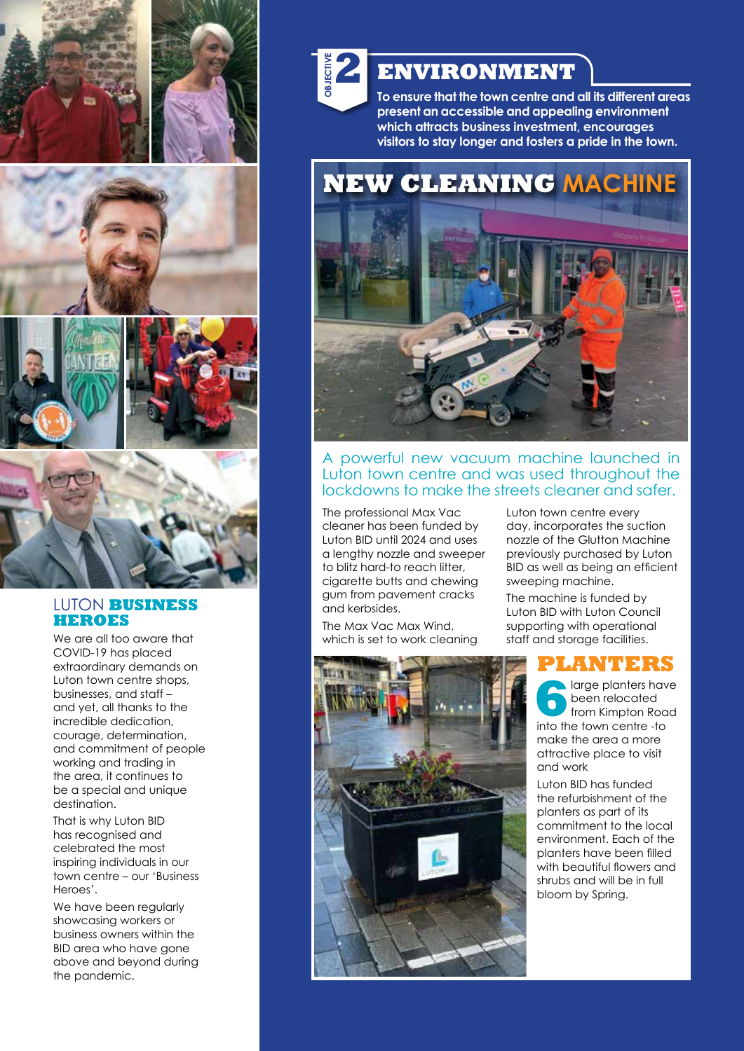

#### LUTON **BUSINESS HEROES**

We are all too aware that COVID-19 has placed extraordinary demands on Luton town centre shops, businesses, and staff – and yet, all thanks to the incredible dedication, courage, determination, and commitment of people working and trading in the area, it continues to be a special and unique destination.

That is why Luton BID has recognised and celebrated the most inspiring individuals in our town centre – our 'Business Heroes'.

We have been regularly showcasing workers or business owners within the BID area who have gone above and beyond during the pandemic.



## **ENVIRONMENT**

**To ensure that the town centre and all its different areas present an accessible and appealing environment which attracts business investment, encourages visitors to stay longer and fosters a pride in the town.**

**NEW CLEANING MACHINE**



#### A powerful new vacuum machine launched in Luton town centre and was used throughout the lockdowns to make the streets cleaner and safer.

The professional Max Vac cleaner has been funded by Luton BID until 2024 and uses a lengthy nozzle and sweeper to blitz hard-to reach litter, cigarette butts and chewing gum from pavement cracks and kerbsides.

The Max Vac Max Wind, which is set to work cleaning



Luton town centre every day, incorporates the suction nozzle of the Glutton Machine previously purchased by Luton BID as well as being an efficient sweeping machine.

The machine is funded by Luton BID with Luton Council supporting with operational staff and storage facilities.

### **PLANTERS**

**6**<br>**6** large planters have<br>trom Kimpton Road<br>into the town centre -to been relocated into the town centre -to make the area a more attractive place to visit and work

Luton BID has funded the refurbishment of the planters as part of its commitment to the local environment. Each of the planters have been filled with beautiful flowers and shrubs and will be in full bloom by Spring.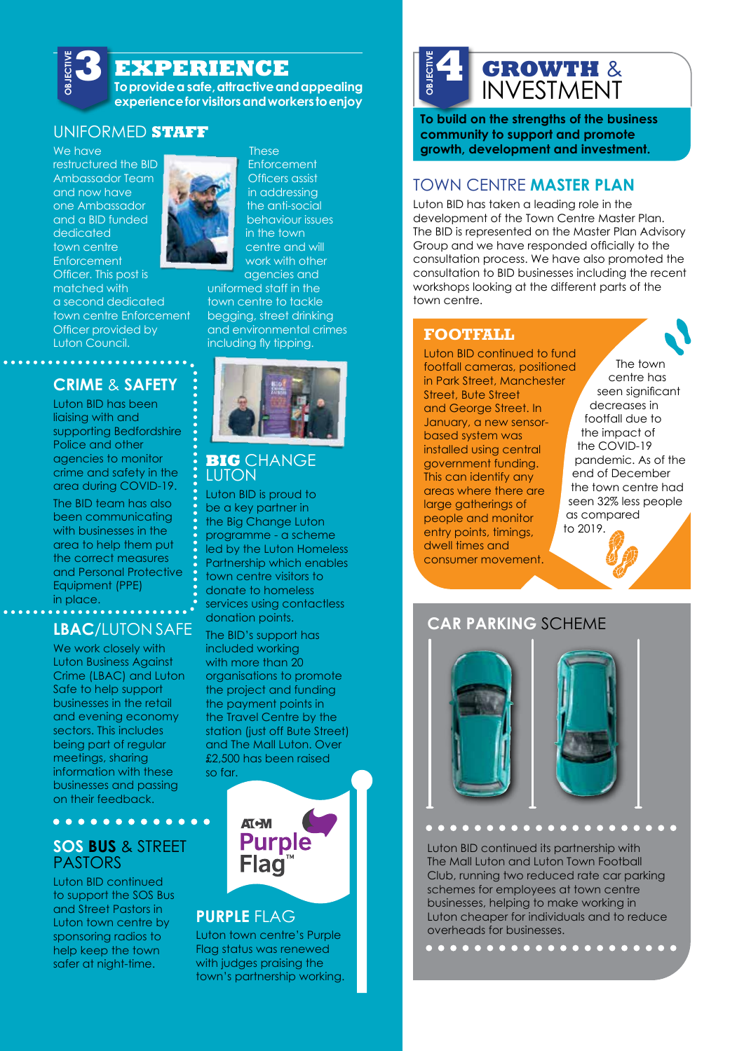## **EXPERIENCE**

**To provide a safe, attractive and appealing experience for visitors and workers to enjoy**

#### UNIFORMED **STAFF**

We have restructured the BID Ambassador Team and now have one Ambassador and a BID funded dedicated town centre **Enforcement** Officer. This post is matched with a second dedicated town centre Enforcement Officer provided by Luton Council.

**OBJECTIVE** 

## **CRIME** & **SAFETY**

. . . . . . . . .

Luton BID has been liaising with and supporting Bedfordshire Police and other agencies to monitor crime and safety in the area during COVID-19.

The BID team has also been communicating with businesses in the area to help them put the correct measures and Personal Protective Equipment (PPE) in place.

# **LBAC**/LUTON SAFE

We work closely with Luton Business Against Crime (LBAC) and Luton Safe to help support businesses in the retail and evening economy sectors. This includes being part of regular meetings, sharing information with these businesses and passing on their feedback.

#### **SOS BUS** & STREET PASTORS

. . . . . . . . . . . . .

Luton BID continued to support the SOS Bus and Street Pastors in Luton town centre by sponsoring radios to help keep the town safer at night-time.



**These Enforcement** 

Officers assist in addressing the anti-social behaviour issues in the town centre and will work with other

agencies and uniformed staff in the town centre to tackle begging, street drinking and environmental crimes including fly tipping.



#### **BIG** CHANGE **LUTON**

Luton BID is proud to be a key partner in the Big Change Luton programme - a scheme led by the Luton Homeless Partnership which enables town centre visitors to donate to homeless services using contactless donation points.

The BID's support has included working with more than 20 organisations to promote the project and funding the payment points in the Travel Centre by the station (just off Bute Street) and The Mall Luton. Over £2,500 has been raised so far.



#### **PURPLE** FLAG

Luton town centre's Purple Flag status was renewed with judges praising the town's partnership working.

### **GROWTH** & INVESTMENT **OBJECTIVE 4**

**To build on the strengths of the business community to support and promote growth, development and investment.**

#### TOWN CENTRE **MASTER PLAN**

Luton BID has taken a leading role in the development of the Town Centre Master Plan. The BID is represented on the Master Plan Advisory Group and we have responded officially to the consultation process. We have also promoted the consultation to BID businesses including the recent workshops looking at the different parts of the town centre.

#### **FOOTFALL**

Luton BID continued to fund footfall cameras, positioned in Park Street, Manchester Street, Bute Street and George Street. In January, a new sensorbased system was installed using central government funding. This can identify any areas where there are large gatherings of people and monitor entry points, timings, dwell times and consumer movement.

The town centre has seen significant decreases in footfall due to the impact of the COVID-19 pandemic. As of the end of December the town centre had seen 32% less people as compared to 2019.

#### **CAR PARKING** SCHEME



#### $\overline{a}$  $\Box$

Luton BID continued its partnership with The Mall Luton and Luton Town Football Club, running two reduced rate car parking schemes for employees at town centre businesses, helping to make working in Luton cheaper for individuals and to reduce overheads for businesses.

. . . . . . . . . . . . . .